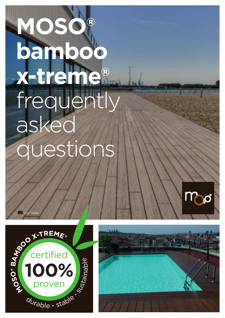# **MOSO® bambo**o **x-treme®** frequently asked Jesti





Lior Teitler

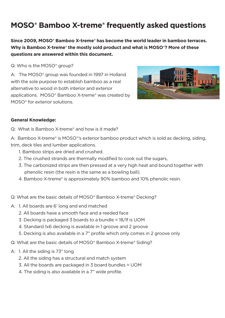**Since 2009, MOSO® Bamboo X-treme® has become the world leader in bamboo terraces. Why is Bamboo X-treme® the mostly sold product and what is MOSO®? More of these questions are answered within this document.** 

Q: Who is the MOSO<sup>®</sup> group?

A: The MOSO® group was founded in 1997 in Holland with the sole purpose to establish bamboo as a real alternative to wood in both interior and exterior applications. MOSO® Bamboo X-treme® was created by MOSO® for exterior solutions.



#### **General Knowledge:**

Q: What is Bamboo X-treme® and how is it made?

A: Bamboo X-treme<sup>®</sup> is MOSO<sup>®</sup>'s exterior bamboo product which is sold as decking, siding, trim, deck tiles and lumber applications.

- 1. Bamboo strips are dried and crushed.
- 2. The crushed strands are thermally modified to cook out the sugars,
- 3. The carbonized strips are then pressed at a very high heat and bound together with phenolic resin (the resin is the same as a bowling ball).
- 4. Bamboo X-treme® is approximately 90% bamboo and 10% phenolic resin.
- Q: What are the basic details of MOSO® Bamboo X-treme® Decking?
- A: 1. All boards are 6' long and end matched
	- 2. All boards have a smooth face and a reeded face
	- 3. Decking is packaged 3 boards to a bundle = 18/lf is UOM
	- 4. Standard 1x6 decking is available in 1 groove and 2 groove
	- 5. Decking is also available in a 7" profile which only comes in 2 groove only

Q: What are the basic details of MOSO® Bamboo X-treme® Siding?

- A: 1. All the siding is 73" long
	- 2. All the siding has a structural end match system
	- 3. All the boards are packaged in 3 board bundles = UOM
	- 4. The siding is also available in a 7" wide profile.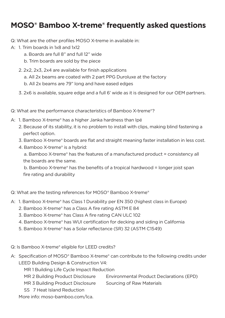Q: What are the other profiles MOSO X-treme in available in:

- A: 1. Trim boards in 1x8 and 1x12
	- a. Boards are full 8" and full 12" wide
	- b. Trim boards are sold by the piece
	- 2. 2x2, 2x3, 2x4 are available for finish applications
		- a. All 2x beams are coated with 2 part PPG Duroluxe at the factory
		- b. All 2x beams are 79" long and have eased edges
	- 3. 2x6 is available, square edge and a full 6' wide as it is designed for our OEM partners.
- Q: What are the performance characteristics of Bamboo X-treme®?
- A: 1. Bamboo X-treme® has a higher Janka hardness than Ipé
	- 2. Because of its stability, it is no problem to install with clips, making blind fastening a perfect option.
	- 3. Bamboo X-treme® boards are flat and straight meaning faster installation in less cost.
	- 4. Bamboo X-treme® is a hybrid:

 a. Bamboo X-treme® has the features of a manufactured product = consistency all the boards are the same.

 b. Bamboo X-treme® has the benefits of a tropical hardwood = longer joist span fire rating and durability

Q: What are the testing references for MOSO® Bamboo X-treme®

- A: 1. Bamboo X-treme® has Class 1 Durability per EN 350 (highest class in Europe)
	- 2. Bamboo X-treme® has a Class A fire rating ASTM E 84
	- 3. Bamboo X-treme® has Class A fire rating CAN ULC 102
	- 4. Bamboo X-treme® has WUI certification for decking and siding in California
	- 5. Bamboo X-treme® has a Solar reflectance (SR) 32 (ASTM C1549)

Q: Is Bamboo X-treme® eligible for LEED credits?

- A: Specification of MOSO® Bamboo X-treme® can contribute to the following credits under LEED Building Design & Construction V4:
	- MR 1 Building Life Cycle Impact Reduction
	- MR 2 Building Product Disclosure Environmental Product Declarations (EPD)
	- MR 3 Building Product Disclosure Sourcing of Raw Materials
	- SS 7 Heat Island Reduction

More info: moso-bamboo.com/lca.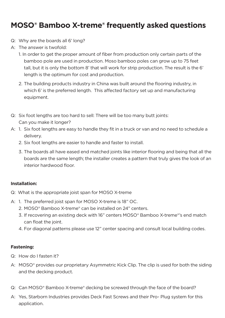- Q: Why are the boards all 6' long?
- A: The answer is twofold:
	- 1. In order to get the proper amount of fiber from production only certain parts of the bamboo pole are used in production. Moso bamboo poles can grow up to 75 feet tall, but it is only the bottom 8' that will work for strip production. The result is the 6' length is the optimum for cost and production.
	- 2. The building products industry in China was built around the flooring industry, in which 6' is the preferred length. This affected factory set up and manufacturing equipment.
- Q: Six foot lengths are too hard to sell: There will be too many butt joints: Can you make it longer?
- A: 1. Six foot lengths are easy to handle they fit in a truck or van and no need to schedule a delivery.
	- 2. Six foot lengths are easier to handle and faster to install.
	- 3. The boards all have eased end matched joints like interior flooring and being that all the boards are the same length; the installer creates a pattern that truly gives the look of an interior hardwood floor.

#### **Installation:**

- Q: What is the appropriate joist span for MOSO X-treme
- A: 1. The preferred joist span for MOSO X-treme is 18" OC.
	- 2. MOSO® Bamboo X-treme® can be installed on 24" centers.
	- 3. If recovering an existing deck with 16" centers MOSO® Bamboo X-treme®'s end match can float the joint.
	- 4. For diagonal patterns please use 12" center spacing and consult local building codes.

#### **Fastening:**

- Q: How do I fasten it?
- A: MOSO<sup>®</sup> provides our proprietary Asymmetric Kick Clip. The clip is used for both the siding and the decking product.
- Q: Can MOSO® Bamboo X-treme® decking be screwed through the face of the board?
- A: Yes, Starborn Industries provides Deck Fast Screws and their Pro- Plug system for this application.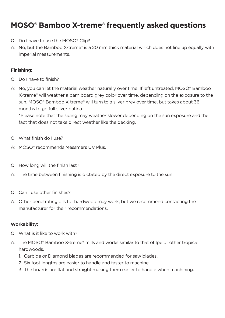- Q: Do I have to use the MOSO® Clip?
- A: No, but the Bamboo X-treme® is a 20 mm thick material which does not line up equally with imperial measurements.

#### **Finishing:**

- Q: Do I have to finish?
- A: No, you can let the material weather naturally over time. If left untreated, MOSO<sup>®</sup> Bamboo X-treme® will weather a barn board grey color over time, depending on the exposure to the sun. MOSO® Bamboo X-treme® will turn to a silver grey over time, but takes about 36 months to go full silver patina.

\*Please note that the siding may weather slower depending on the sun exposure and the fact that does not take direct weather like the decking.

- Q: What finish do I use?
- A: MOSO® recommends Messmers UV Plus.
- Q: How long will the finish last?
- A: The time between finishing is dictated by the direct exposure to the sun.
- Q: Can I use other finishes?
- A: Other penetrating oils for hardwood may work, but we recommend contacting the manufacturer for their recommendations.

#### **Workability:**

- Q: What is it like to work with?
- A: The MOSO® Bamboo X-treme® mills and works similar to that of Ipé or other tropical hardwoods.
	- 1. Carbide or Diamond blades are recommended for saw blades.
	- 2. Six foot lengths are easier to handle and faster to machine.
	- 3. The boards are flat and straight making them easier to handle when machining.